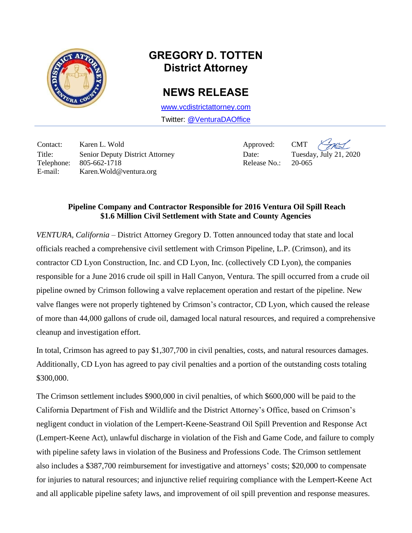

## **GREGORY D. TOTTEN District Attorney**

## **NEWS RELEASE**

[www.vcdistrictattorney.com](http://www.vcdistrictattorney.com/) Twitter: [@VenturaDAOffice](https://twitter.com/venturadaoffice)

Contact: Karen L. Wold Approved: CMT Title: Senior Deputy District Attorney Date: Tuesday, July 21, 2020 Telephone: 805-662-1718 Release No.: 20-065 E-mail: Karen.Wold@ventura.org

## **Pipeline Company and Contractor Responsible for 2016 Ventura Oil Spill Reach \$1.6 Million Civil Settlement with State and County Agencies**

*VENTURA, California* – District Attorney Gregory D. Totten announced today that state and local officials reached a comprehensive civil settlement with Crimson Pipeline, L.P. (Crimson), and its contractor CD Lyon Construction, Inc. and CD Lyon, Inc. (collectively CD Lyon), the companies responsible for a June 2016 crude oil spill in Hall Canyon, Ventura. The spill occurred from a crude oil pipeline owned by Crimson following a valve replacement operation and restart of the pipeline. New valve flanges were not properly tightened by Crimson's contractor, CD Lyon, which caused the release of more than 44,000 gallons of crude oil, damaged local natural resources, and required a comprehensive cleanup and investigation effort.

In total, Crimson has agreed to pay \$1,307,700 in civil penalties, costs, and natural resources damages. Additionally, CD Lyon has agreed to pay civil penalties and a portion of the outstanding costs totaling \$300,000.

The Crimson settlement includes \$900,000 in civil penalties, of which \$600,000 will be paid to the California Department of Fish and Wildlife and the District Attorney's Office, based on Crimson's negligent conduct in violation of the Lempert-Keene-Seastrand Oil Spill Prevention and Response Act (Lempert-Keene Act), unlawful discharge in violation of the Fish and Game Code, and failure to comply with pipeline safety laws in violation of the Business and Professions Code. The Crimson settlement also includes a \$387,700 reimbursement for investigative and attorneys' costs; \$20,000 to compensate for injuries to natural resources; and injunctive relief requiring compliance with the Lempert-Keene Act and all applicable pipeline safety laws, and improvement of oil spill prevention and response measures.